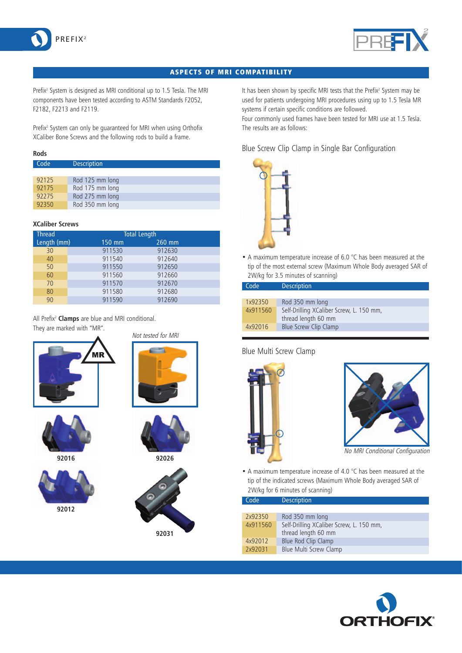



### ASPECTS OF MRI COMPATIBILITY

Prefix<sup>2</sup> System is designed as MRI conditional up to 1.5 Tesla. The MRI components have been tested according to ASTM Standards F2052, F2182, F2213 and F2119.

Prefix<sup>2</sup> System can only be quaranteed for MRI when using Orthofix XCaliber Bone Screws and the following rods to build a frame.

#### **Rods**

| Code  | <b>Description</b> |
|-------|--------------------|
|       |                    |
| 92125 | Rod 125 mm long    |
| 92175 | Rod 175 mm long    |
| 92275 | Rod 275 mm long    |
| 92350 | Rod 350 mm long    |

#### **XCaliber Screws**

| <b>Thread</b> | <b>Total Length</b> |          |  |
|---------------|---------------------|----------|--|
| Length (mm)   | 150 mm              | $260$ mm |  |
| 30            | 911530              | 912630   |  |
| 40            | 911540              | 912640   |  |
| 50            | 911550              | 912650   |  |
| 60            | 911560              | 912660   |  |
| 70            | 911570              | 912670   |  |
| 80            | 911580              | 912680   |  |
| 90            | 911590              | 912690   |  |

All Prefix2 **Clamps** are blue and MRI conditional. They are marked with "MR".





**92016**







**92026**



It has been shown by specific MRI tests that the Prefix<sup>2</sup> System may be used for patients undergoing MRI procedures using up to 1.5 Tesla MR systems if certain specific conditions are followed.

Four commonly used frames have been tested for MRI use at 1.5 Tesla. The results are as follows:

### Blue Screw Clip Clamp in Single Bar Configuration



• A maximum temperature increase of 6.0 °C has been measured at the tip of the most external screw (Maximum Whole Body averaged SAR of 2W/kg for 3.5 minutes of scanning)

| Code     | <b>Description</b>                       |
|----------|------------------------------------------|
|          |                                          |
| 1x92350  | Rod 350 mm long                          |
| 4x911560 | Self-Drilling XCaliber Screw, L. 150 mm, |
|          | thread length 60 mm                      |
| 4x92016  | Blue Screw Clip Clamp                    |

### Blue Multi Screw Clamp





No MRI Conditional Configuration

• A maximum temperature increase of 4.0 °C has been measured at the tip of the indicated screws (Maximum Whole Body averaged SAR of 2W/kg for 6 minutes of scanning)

| Code | <b>Description</b> |
|------|--------------------|

| 2x92350  | Rod 350 mm long                          |
|----------|------------------------------------------|
| 4x911560 | Self-Drilling XCaliber Screw, L. 150 mm, |
|          | thread length 60 mm                      |
| 4x92012  | Blue Rod Clip Clamp                      |
| 2x92031  | Blue Multi Screw Clamp                   |
|          |                                          |